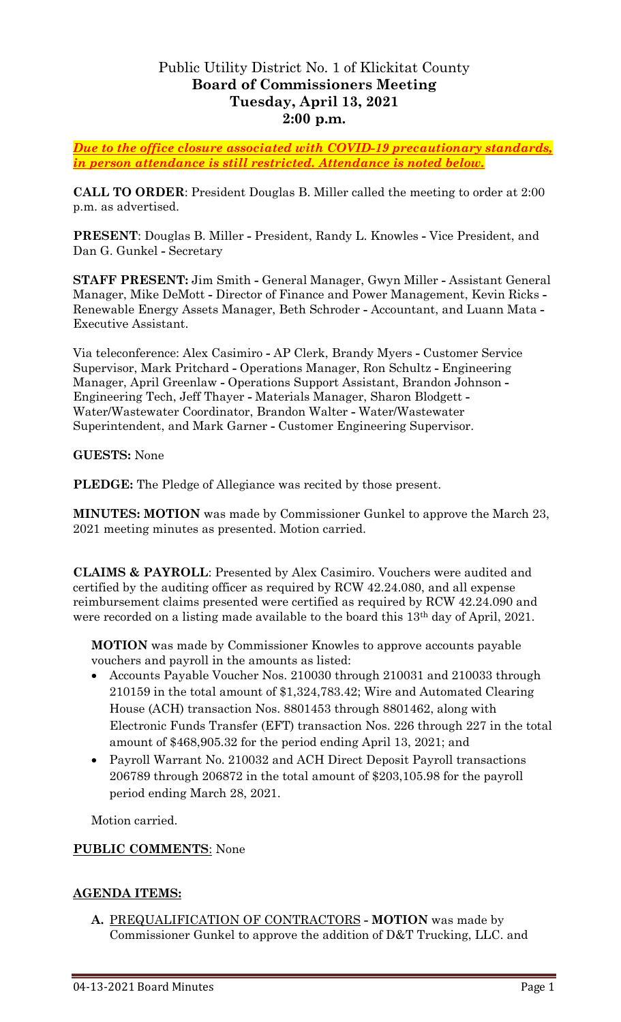## Public Utility District No. 1 of Klickitat County **Board of Commissioners Meeting Tuesday, April 13, 2021 2:00 p.m.**

*Due to the office closure associated with COVID-19 precautionary standards, in person attendance is still restricted. Attendance is noted below.*

**CALL TO ORDER**: President Douglas B. Miller called the meeting to order at 2:00 p.m. as advertised.

**PRESENT**: Douglas B. Miller **-** President, Randy L. Knowles **-** Vice President, and Dan G. Gunkel **-** Secretary

**STAFF PRESENT:** Jim Smith **-** General Manager, Gwyn Miller **-** Assistant General Manager, Mike DeMott **-** Director of Finance and Power Management, Kevin Ricks **-** Renewable Energy Assets Manager, Beth Schroder **-** Accountant, and Luann Mata **-** Executive Assistant.

Via teleconference: Alex Casimiro **-** AP Clerk, Brandy Myers **-** Customer Service Supervisor, Mark Pritchard **-** Operations Manager, Ron Schultz **-** Engineering Manager, April Greenlaw **-** Operations Support Assistant, Brandon Johnson **-** Engineering Tech, Jeff Thayer **-** Materials Manager, Sharon Blodgett **-** Water/Wastewater Coordinator, Brandon Walter **-** Water/Wastewater Superintendent, and Mark Garner **-** Customer Engineering Supervisor.

**GUESTS:** None

**PLEDGE:** The Pledge of Allegiance was recited by those present.

**MINUTES: MOTION** was made by Commissioner Gunkel to approve the March 23, 2021 meeting minutes as presented. Motion carried.

**CLAIMS & PAYROLL**: Presented by Alex Casimiro. Vouchers were audited and certified by the auditing officer as required by RCW 42.24.080, and all expense reimbursement claims presented were certified as required by RCW 42.24.090 and were recorded on a listing made available to the board this 13th day of April, 2021.

**MOTION** was made by Commissioner Knowles to approve accounts payable vouchers and payroll in the amounts as listed:

- Accounts Payable Voucher Nos. 210030 through 210031 and 210033 through 210159 in the total amount of \$1,324,783.42; Wire and Automated Clearing House (ACH) transaction Nos. 8801453 through 8801462, along with Electronic Funds Transfer (EFT) transaction Nos. 226 through 227 in the total amount of \$468,905.32 for the period ending April 13, 2021; and
- Payroll Warrant No. 210032 and ACH Direct Deposit Payroll transactions 206789 through 206872 in the total amount of \$203,105.98 for the payroll period ending March 28, 2021.

Motion carried.

## **PUBLIC COMMENTS**: None

## **AGENDA ITEMS:**

**A.** PREQUALIFICATION OF CONTRACTORS **- MOTION** was made by Commissioner Gunkel to approve the addition of D&T Trucking, LLC. and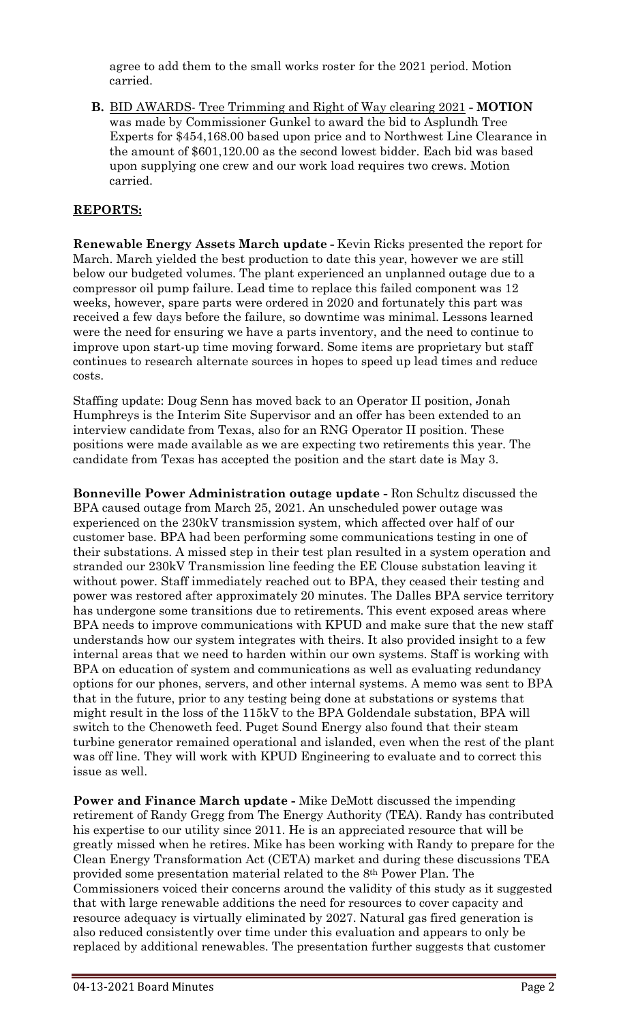agree to add them to the small works roster for the 2021 period. Motion carried.

**B.** BID AWARDS- Tree Trimming and Right of Way clearing 2021 **- MOTION** was made by Commissioner Gunkel to award the bid to Asplundh Tree Experts for \$454,168.00 based upon price and to Northwest Line Clearance in the amount of \$601,120.00 as the second lowest bidder. Each bid was based upon supplying one crew and our work load requires two crews. Motion carried.

## **REPORTS:**

**Renewable Energy Assets March update -** Kevin Ricks presented the report for March. March yielded the best production to date this year, however we are still below our budgeted volumes. The plant experienced an unplanned outage due to a compressor oil pump failure. Lead time to replace this failed component was 12 weeks, however, spare parts were ordered in 2020 and fortunately this part was received a few days before the failure, so downtime was minimal. Lessons learned were the need for ensuring we have a parts inventory, and the need to continue to improve upon start-up time moving forward. Some items are proprietary but staff continues to research alternate sources in hopes to speed up lead times and reduce costs.

Staffing update: Doug Senn has moved back to an Operator II position, Jonah Humphreys is the Interim Site Supervisor and an offer has been extended to an interview candidate from Texas, also for an RNG Operator II position. These positions were made available as we are expecting two retirements this year. The candidate from Texas has accepted the position and the start date is May 3.

**Bonneville Power Administration outage update -** Ron Schultz discussed the BPA caused outage from March 25, 2021. An unscheduled power outage was experienced on the 230kV transmission system, which affected over half of our customer base. BPA had been performing some communications testing in one of their substations. A missed step in their test plan resulted in a system operation and stranded our 230kV Transmission line feeding the EE Clouse substation leaving it without power. Staff immediately reached out to BPA, they ceased their testing and power was restored after approximately 20 minutes. The Dalles BPA service territory has undergone some transitions due to retirements. This event exposed areas where BPA needs to improve communications with KPUD and make sure that the new staff understands how our system integrates with theirs. It also provided insight to a few internal areas that we need to harden within our own systems. Staff is working with BPA on education of system and communications as well as evaluating redundancy options for our phones, servers, and other internal systems. A memo was sent to BPA that in the future, prior to any testing being done at substations or systems that might result in the loss of the 115kV to the BPA Goldendale substation, BPA will switch to the Chenoweth feed. Puget Sound Energy also found that their steam turbine generator remained operational and islanded, even when the rest of the plant was off line. They will work with KPUD Engineering to evaluate and to correct this issue as well.

**Power and Finance March update -** Mike DeMott discussed the impending retirement of Randy Gregg from The Energy Authority (TEA). Randy has contributed his expertise to our utility since 2011. He is an appreciated resource that will be greatly missed when he retires. Mike has been working with Randy to prepare for the Clean Energy Transformation Act (CETA) market and during these discussions TEA provided some presentation material related to the 8th Power Plan. The Commissioners voiced their concerns around the validity of this study as it suggested that with large renewable additions the need for resources to cover capacity and resource adequacy is virtually eliminated by 2027. Natural gas fired generation is also reduced consistently over time under this evaluation and appears to only be replaced by additional renewables. The presentation further suggests that customer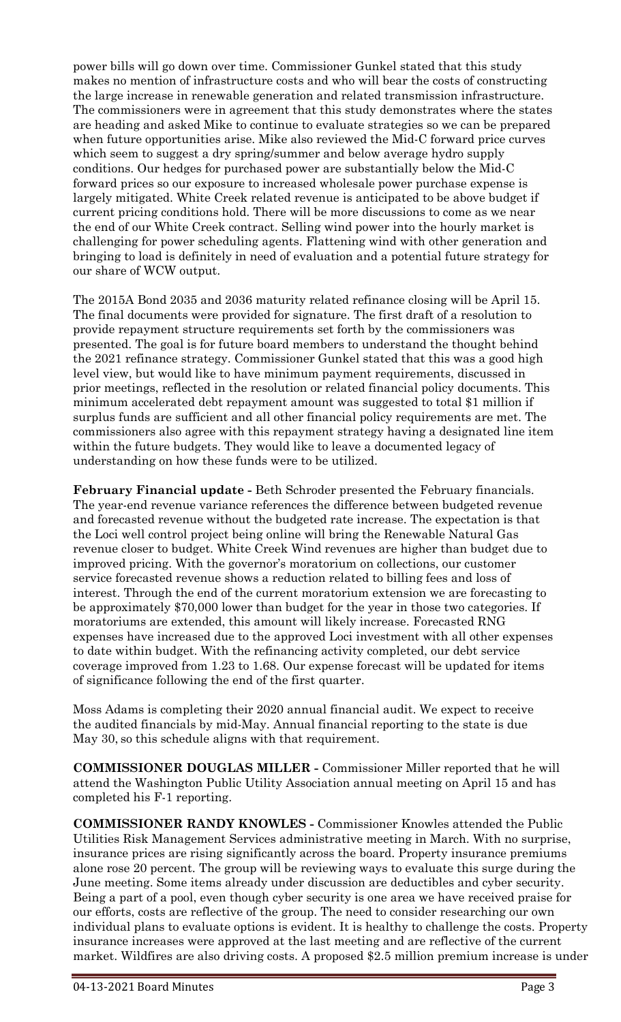power bills will go down over time. Commissioner Gunkel stated that this study makes no mention of infrastructure costs and who will bear the costs of constructing the large increase in renewable generation and related transmission infrastructure. The commissioners were in agreement that this study demonstrates where the states are heading and asked Mike to continue to evaluate strategies so we can be prepared when future opportunities arise. Mike also reviewed the Mid-C forward price curves which seem to suggest a dry spring/summer and below average hydro supply conditions. Our hedges for purchased power are substantially below the Mid-C forward prices so our exposure to increased wholesale power purchase expense is largely mitigated. White Creek related revenue is anticipated to be above budget if current pricing conditions hold. There will be more discussions to come as we near the end of our White Creek contract. Selling wind power into the hourly market is challenging for power scheduling agents. Flattening wind with other generation and bringing to load is definitely in need of evaluation and a potential future strategy for our share of WCW output.

The 2015A Bond 2035 and 2036 maturity related refinance closing will be April 15. The final documents were provided for signature. The first draft of a resolution to provide repayment structure requirements set forth by the commissioners was presented. The goal is for future board members to understand the thought behind the 2021 refinance strategy. Commissioner Gunkel stated that this was a good high level view, but would like to have minimum payment requirements, discussed in prior meetings, reflected in the resolution or related financial policy documents. This minimum accelerated debt repayment amount was suggested to total \$1 million if surplus funds are sufficient and all other financial policy requirements are met. The commissioners also agree with this repayment strategy having a designated line item within the future budgets. They would like to leave a documented legacy of understanding on how these funds were to be utilized.

**February Financial update -** Beth Schroder presented the February financials. The year-end revenue variance references the difference between budgeted revenue and forecasted revenue without the budgeted rate increase. The expectation is that the Loci well control project being online will bring the Renewable Natural Gas revenue closer to budget. White Creek Wind revenues are higher than budget due to improved pricing. With the governor's moratorium on collections, our customer service forecasted revenue shows a reduction related to billing fees and loss of interest. Through the end of the current moratorium extension we are forecasting to be approximately \$70,000 lower than budget for the year in those two categories. If moratoriums are extended, this amount will likely increase. Forecasted RNG expenses have increased due to the approved Loci investment with all other expenses to date within budget. With the refinancing activity completed, our debt service coverage improved from 1.23 to 1.68. Our expense forecast will be updated for items of significance following the end of the first quarter.

Moss Adams is completing their 2020 annual financial audit. We expect to receive the audited financials by mid-May. Annual financial reporting to the state is due May 30, so this schedule aligns with that requirement.

**COMMISSIONER DOUGLAS MILLER -** Commissioner Miller reported that he will attend the Washington Public Utility Association annual meeting on April 15 and has completed his F-1 reporting.

**COMMISSIONER RANDY KNOWLES -** Commissioner Knowles attended the Public Utilities Risk Management Services administrative meeting in March. With no surprise, insurance prices are rising significantly across the board. Property insurance premiums alone rose 20 percent. The group will be reviewing ways to evaluate this surge during the June meeting. Some items already under discussion are deductibles and cyber security. Being a part of a pool, even though cyber security is one area we have received praise for our efforts, costs are reflective of the group. The need to consider researching our own individual plans to evaluate options is evident. It is healthy to challenge the costs. Property insurance increases were approved at the last meeting and are reflective of the current market. Wildfires are also driving costs. A proposed \$2.5 million premium increase is under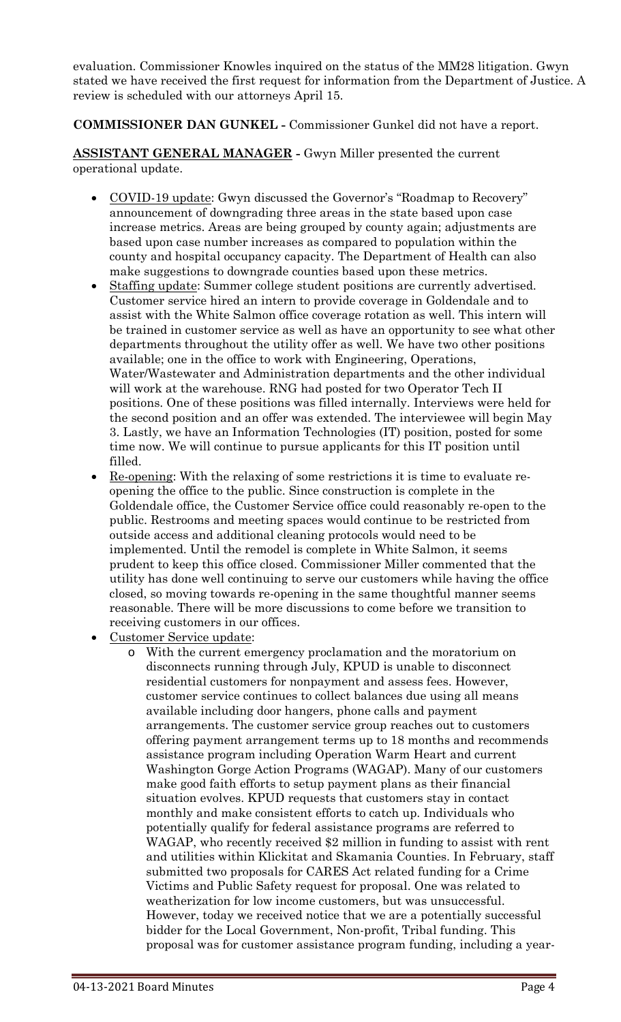evaluation. Commissioner Knowles inquired on the status of the MM28 litigation. Gwyn stated we have received the first request for information from the Department of Justice. A review is scheduled with our attorneys April 15.

**COMMISSIONER DAN GUNKEL -** Commissioner Gunkel did not have a report.

**ASSISTANT GENERAL MANAGER -** Gwyn Miller presented the current operational update.

- COVID-19 update: Gwyn discussed the Governor's "Roadmap to Recovery" announcement of downgrading three areas in the state based upon case increase metrics. Areas are being grouped by county again; adjustments are based upon case number increases as compared to population within the county and hospital occupancy capacity. The Department of Health can also make suggestions to downgrade counties based upon these metrics.
- Staffing update: Summer college student positions are currently advertised. Customer service hired an intern to provide coverage in Goldendale and to assist with the White Salmon office coverage rotation as well. This intern will be trained in customer service as well as have an opportunity to see what other departments throughout the utility offer as well. We have two other positions available; one in the office to work with Engineering, Operations, Water/Wastewater and Administration departments and the other individual will work at the warehouse. RNG had posted for two Operator Tech II positions. One of these positions was filled internally. Interviews were held for the second position and an offer was extended. The interviewee will begin May 3. Lastly, we have an Information Technologies (IT) position, posted for some time now. We will continue to pursue applicants for this IT position until filled.
- Re-opening: With the relaxing of some restrictions it is time to evaluate reopening the office to the public. Since construction is complete in the Goldendale office, the Customer Service office could reasonably re-open to the public. Restrooms and meeting spaces would continue to be restricted from outside access and additional cleaning protocols would need to be implemented. Until the remodel is complete in White Salmon, it seems prudent to keep this office closed. Commissioner Miller commented that the utility has done well continuing to serve our customers while having the office closed, so moving towards re-opening in the same thoughtful manner seems reasonable. There will be more discussions to come before we transition to receiving customers in our offices.
- Customer Service update:
	- o With the current emergency proclamation and the moratorium on disconnects running through July, KPUD is unable to disconnect residential customers for nonpayment and assess fees. However, customer service continues to collect balances due using all means available including door hangers, phone calls and payment arrangements. The customer service group reaches out to customers offering payment arrangement terms up to 18 months and recommends assistance program including Operation Warm Heart and current Washington Gorge Action Programs (WAGAP). Many of our customers make good faith efforts to setup payment plans as their financial situation evolves. KPUD requests that customers stay in contact monthly and make consistent efforts to catch up. Individuals who potentially qualify for federal assistance programs are referred to WAGAP, who recently received \$2 million in funding to assist with rent and utilities within Klickitat and Skamania Counties. In February, staff submitted two proposals for CARES Act related funding for a Crime Victims and Public Safety request for proposal. One was related to weatherization for low income customers, but was unsuccessful. However, today we received notice that we are a potentially successful bidder for the Local Government, Non-profit, Tribal funding. This proposal was for customer assistance program funding, including a year-